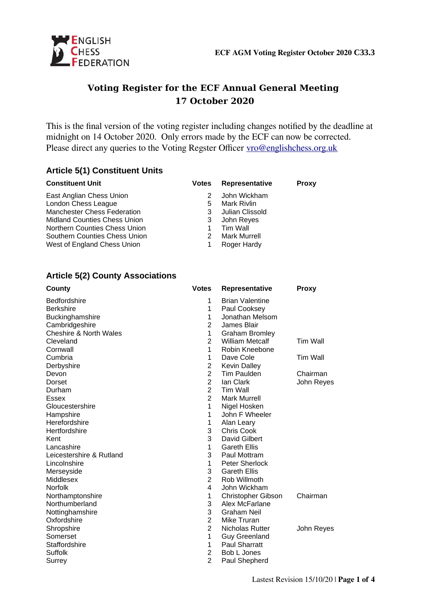

# **Voting Register for the ECF Annual General Meeting 17 October 2020**

This is the final version of the voting register including changes notified by the deadline at midnight on 14 October 2020. Only errors made by the ECF can now be corrected. Please direct any queries to the Voting Regster Officer [vro@englishchess.org.uk](mailto:vro@englishchess.org.uk)

#### **Article 5(1) Constituent Units**

| <b>Constituent Unit</b>             | <b>Votes</b> | Representative      | <b>Proxy</b> |
|-------------------------------------|--------------|---------------------|--------------|
| East Anglian Chess Union            |              | John Wickham        |              |
| London Chess League                 | 5            | Mark Rivlin         |              |
| <b>Manchester Chess Federation</b>  | 3            | Julian Clissold     |              |
| <b>Midland Counties Chess Union</b> | 3            | John Reyes          |              |
| Northern Counties Chess Union       |              | Tim Wall            |              |
| Southern Counties Chess Union       |              | <b>Mark Murrell</b> |              |
| West of England Chess Union         |              | Roger Hardy         |              |

#### **Article 5(2) County Associations**

| County                            | <b>Votes</b>   | Representative         | <b>Proxy</b>    |
|-----------------------------------|----------------|------------------------|-----------------|
| <b>Bedfordshire</b>               | 1              | <b>Brian Valentine</b> |                 |
| <b>Berkshire</b>                  | 1              | Paul Cooksey           |                 |
| Buckinghamshire                   | 1              | Jonathan Melsom        |                 |
| Cambridgeshire                    | $\overline{2}$ | James Blair            |                 |
| <b>Cheshire &amp; North Wales</b> | $\mathbf{1}$   | <b>Graham Bromley</b>  |                 |
| Cleveland                         | $\overline{c}$ | <b>William Metcalf</b> | <b>Tim Wall</b> |
| Cornwall                          | 1              | Robin Kneebone         |                 |
| Cumbria                           | 1              | Dave Cole              | <b>Tim Wall</b> |
| Derbyshire                        | $\overline{c}$ | <b>Kevin Dalley</b>    |                 |
| Devon                             | $\overline{2}$ | Tim Paulden            | Chairman        |
| Dorset                            | $\overline{c}$ | lan Clark              | John Reyes      |
| Durham                            | $\overline{2}$ | <b>Tim Wall</b>        |                 |
| <b>Essex</b>                      | $\overline{2}$ | <b>Mark Murrell</b>    |                 |
| Gloucestershire                   | 1              | Nigel Hosken           |                 |
| Hampshire                         | $\mathbf{1}$   | John F Wheeler         |                 |
| Herefordshire                     | 1              | Alan Leary             |                 |
| Hertfordshire                     | 3              | Chris Cook             |                 |
| Kent                              | 3              | David Gilbert          |                 |
| Lancashire                        | 1              | <b>Gareth Ellis</b>    |                 |
| Leicestershire & Rutland          | 3              | Paul Mottram           |                 |
| Lincolnshire                      | 1              | <b>Peter Sherlock</b>  |                 |
| Merseyside                        | 3              | <b>Gareth Ellis</b>    |                 |
| Middlesex                         | $\overline{2}$ | Rob Willmoth           |                 |
| <b>Norfolk</b>                    | 4              | John Wickham           |                 |
| Northamptonshire                  | $\mathbf{1}$   | Christopher Gibson     | Chairman        |
| Northumberland                    | 3              | Alex McFarlane         |                 |
| Nottinghamshire                   | 3              | <b>Graham Neil</b>     |                 |
| Oxfordshire                       | $\overline{2}$ | Mike Truran            |                 |
| Shropshire                        | $\overline{2}$ | Nicholas Rutter        | John Reyes      |
| Somerset                          | 1              | <b>Guy Greenland</b>   |                 |
| Staffordshire                     | $\mathbf 1$    | <b>Paul Sharratt</b>   |                 |
| Suffolk                           | $\overline{2}$ | Bob L Jones            |                 |
| Surrey                            | $\overline{c}$ | Paul Shepherd          |                 |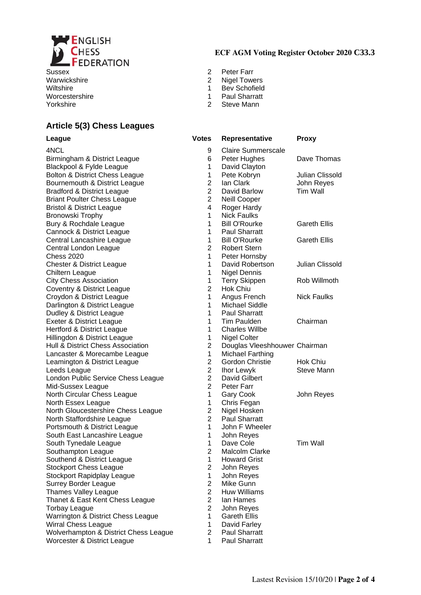

Worcestershire 1 Paul Sharratt

#### **Article 5(3) Chess Leagues**

#### **ECF AGM Voting Register October 2020 C33.3**

- Sussex 2 Peter Farr
- Warwickshire **2** Nigel Towers
- Wiltshire 1 Bev Schofield
	-
- Yorkshire 2 Steve Mann

| <b>League</b>                         | <b>Votes</b>   | <b>Representative</b>         | <b>Proxy</b>        |
|---------------------------------------|----------------|-------------------------------|---------------------|
| 4NCL                                  | 9              | Claire Summerscale            |                     |
| Birmingham & District League          | 6              | Peter Hughes                  | Dave Thomas         |
| Blackpool & Fylde League              | 1              | David Clayton                 |                     |
| Bolton & District Chess League        | 1              | Pete Kobryn                   | Julian Clissold     |
| Bournemouth & District League         | $\overline{2}$ | lan Clark                     | John Reyes          |
| <b>Bradford &amp; District League</b> | $\overline{c}$ | David Barlow                  | <b>Tim Wall</b>     |
| <b>Briant Poulter Chess League</b>    | $\overline{2}$ | Neill Cooper                  |                     |
| <b>Bristol &amp; District League</b>  | 4              | Roger Hardy                   |                     |
| Bronowski Trophy                      | $\mathbf{1}$   | <b>Nick Faulks</b>            |                     |
| Bury & Rochdale League                | $\mathbf{1}$   | <b>Bill O'Rourke</b>          | <b>Gareth Ellis</b> |
| Cannock & District League             | $\mathbf{1}$   | <b>Paul Sharratt</b>          |                     |
| Central Lancashire League             | 1              | <b>Bill O'Rourke</b>          | <b>Gareth Ellis</b> |
| Central London League                 | $\overline{2}$ | <b>Robert Stern</b>           |                     |
| <b>Chess 2020</b>                     | $\mathbf{1}$   | Peter Hornsby                 |                     |
| <b>Chester &amp; District League</b>  | $\mathbf{1}$   | David Robertson               | Julian Clissold     |
| Chiltern League                       | 1              | <b>Nigel Dennis</b>           |                     |
| <b>City Chess Association</b>         | 1              | <b>Terry Skippen</b>          | Rob Willmoth        |
| Coventry & District League            | $\overline{2}$ | <b>Hok Chiu</b>               |                     |
| Croydon & District League             | $\mathbf 1$    | Angus French                  | <b>Nick Faulks</b>  |
| Darlington & District League          | $\mathbf{1}$   | <b>Michael Siddle</b>         |                     |
| Dudley & District League              | $\mathbf{1}$   | <b>Paul Sharratt</b>          |                     |
| Exeter & District League              | $\mathbf{1}$   | Tim Paulden                   | Chairman            |
| Hertford & District League            | $\mathbf{1}$   | <b>Charles Willbe</b>         |                     |
| Hillingdon & District League          | 1              | Nigel Colter                  |                     |
| Hull & District Chess Association     | $\overline{2}$ | Douglas Vleeshhouwer Chairman |                     |
| Lancaster & Morecambe League          | $\mathbf{1}$   | <b>Michael Farthing</b>       |                     |
| Leamington & District League          | $\overline{2}$ | Gordon Christie               | Hok Chiu            |
| Leeds League                          | $\overline{c}$ | Ihor Lewyk                    | Steve Mann          |
| London Public Service Chess League    | $\overline{2}$ | David Gilbert                 |                     |
| Mid-Sussex League                     | $\overline{2}$ | Peter Farr                    |                     |
| North Circular Chess League           | 1              | <b>Gary Cook</b>              | John Reyes          |
| North Essex League                    | 1              | Chris Fegan                   |                     |
| North Gloucestershire Chess League    | $\overline{2}$ | Nigel Hosken                  |                     |
| North Staffordshire League            | $\overline{2}$ | <b>Paul Sharratt</b>          |                     |
| Portsmouth & District League          | $\mathbf{1}$   | John F Wheeler                |                     |
| South East Lancashire League          | 1              | John Reyes                    |                     |
| South Tynedale League                 | 1              | Dave Cole                     | Tim Wall            |
| Southampton League                    | $\overline{c}$ | Malcolm Clarke                |                     |
| Southend & District League            | $\mathbf{1}$   | <b>Howard Grist</b>           |                     |
| <b>Stockport Chess League</b>         | $\overline{c}$ | John Reyes                    |                     |
| <b>Stockport Rapidplay League</b>     | 1              | John Reyes                    |                     |
| <b>Surrey Border League</b>           | $\overline{c}$ | Mike Gunn                     |                     |
| <b>Thames Valley League</b>           | $\overline{2}$ | <b>Huw Williams</b>           |                     |
| Thanet & East Kent Chess League       | $\overline{2}$ | Ian Hames                     |                     |
| <b>Torbay League</b>                  | $\overline{2}$ | John Reyes                    |                     |
| Warrington & District Chess League    | $\mathbf{1}$   | <b>Gareth Ellis</b>           |                     |
| Wirral Chess League                   | 1              | David Farley                  |                     |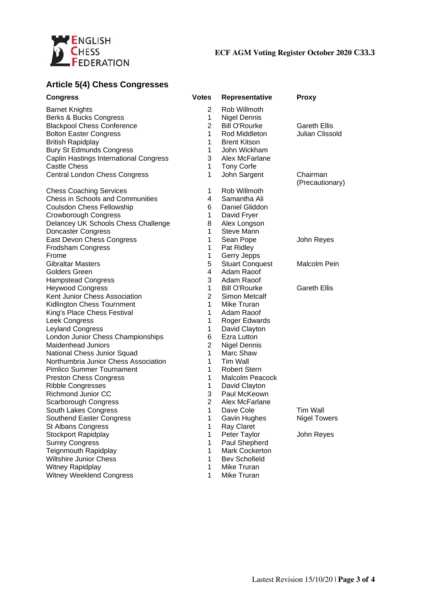

#### **ECF AGM Voting Register October 2020 C33.3**

## **Article 5(4) Chess Congresses**

| <b>Congress</b>                        | <b>Votes</b>   | Representative         | <b>Proxy</b>        |
|----------------------------------------|----------------|------------------------|---------------------|
| <b>Barnet Knights</b>                  | 2              | Rob Willmoth           |                     |
| Berks & Bucks Congress                 | 1              | <b>Nigel Dennis</b>    |                     |
| <b>Blackpool Chess Conference</b>      | $\overline{2}$ | <b>Bill O'Rourke</b>   | <b>Gareth Ellis</b> |
| <b>Bolton Easter Congress</b>          | $\mathbf 1$    | Rod Middleton          | Julian Clissold     |
| <b>British Rapidplay</b>               | 1              | <b>Brent Kitson</b>    |                     |
| <b>Bury St Edmunds Congress</b>        | 1              | John Wickham           |                     |
| Caplin Hastings International Congress | 3              | Alex McFarlane         |                     |
| <b>Castle Chess</b>                    | 1              |                        |                     |
|                                        |                | <b>Tony Corfe</b>      | Chairman            |
| Central London Chess Congress          | 1              | John Sargent           | (Precautionary)     |
| <b>Chess Coaching Services</b>         | 1              | Rob Willmoth           |                     |
| Chess in Schools and Communities       | 4              | Samantha Ali           |                     |
| <b>Coulsdon Chess Fellowship</b>       | 6              | Daniel Gliddon         |                     |
| Crowborough Congress                   | $\mathbf 1$    | David Fryer            |                     |
| Delancey UK Schools Chess Challenge    | 8              | Alex Longson           |                     |
| Doncaster Congress                     | $\mathbf 1$    | <b>Steve Mann</b>      |                     |
| East Devon Chess Congress              | 1              | Sean Pope              | John Reyes          |
| Frodsham Congress                      | 1              | Pat Ridley             |                     |
| Frome                                  | 1              | Gerry Jepps            |                     |
| <b>Gibraltar Masters</b>               | 5              | <b>Stuart Conquest</b> | Malcolm Pein        |
| <b>Golders Green</b>                   | 4              | Adam Raoof             |                     |
| <b>Hampstead Congress</b>              | 3              | Adam Raoof             |                     |
| <b>Heywood Congress</b>                | 1              | <b>Bill O'Rourke</b>   | <b>Gareth Ellis</b> |
| Kent Junior Chess Association          | $\overline{c}$ | Simon Metcalf          |                     |
| Kidlington Chess Tournment             | $\mathbf 1$    | Mike Truran            |                     |
| King's Place Chess Festival            | $\mathbf 1$    | Adam Raoof             |                     |
| Leek Congress                          | $\mathbf 1$    | Roger Edwards          |                     |
| Leyland Congress                       | 1              | David Clayton          |                     |
| London Junior Chess Championships      | 6              | Ezra Lutton            |                     |
| <b>Maidenhead Juniors</b>              | $\overline{c}$ | <b>Nigel Dennis</b>    |                     |
| National Chess Junior Squad            | $\mathbf 1$    | Marc Shaw              |                     |
| Northumbria Junior Chess Association   | 1              | Tim Wall               |                     |
| Pimlico Summer Tournament              | $\mathbf 1$    | <b>Robert Stern</b>    |                     |
| <b>Preston Chess Congress</b>          | 1              | Malcolm Peacock        |                     |
| Ribble Congresses                      | 1              | David Clayton          |                     |
| Richmond Junior CC                     | 3              | Paul McKeown           |                     |
| Scarborough Congress                   | $\overline{2}$ | Alex McFarlane         |                     |
| South Lakes Congress                   | 1              | Dave Cole              | <b>Tim Wall</b>     |
| Southend Easter Congress               | 1              | Gavin Hughes           | <b>Nigel Towers</b> |
| <b>St Albans Congress</b>              | 1              | Ray Claret             |                     |
| <b>Stockport Rapidplay</b>             | 1              | Peter Taylor           |                     |
|                                        |                |                        | John Reyes          |
| <b>Surrey Congress</b>                 | 1              | Paul Shepherd          |                     |
| <b>Teignmouth Rapidplay</b>            | 1              | Mark Cockerton         |                     |
| <b>Wiltshire Junior Chess</b>          | 1              | <b>Bev Schofield</b>   |                     |
| <b>Witney Rapidplay</b>                | $\mathbf{1}$   | Mike Truran            |                     |
| Witney Weeklend Congress               | 1              | Mike Truran            |                     |